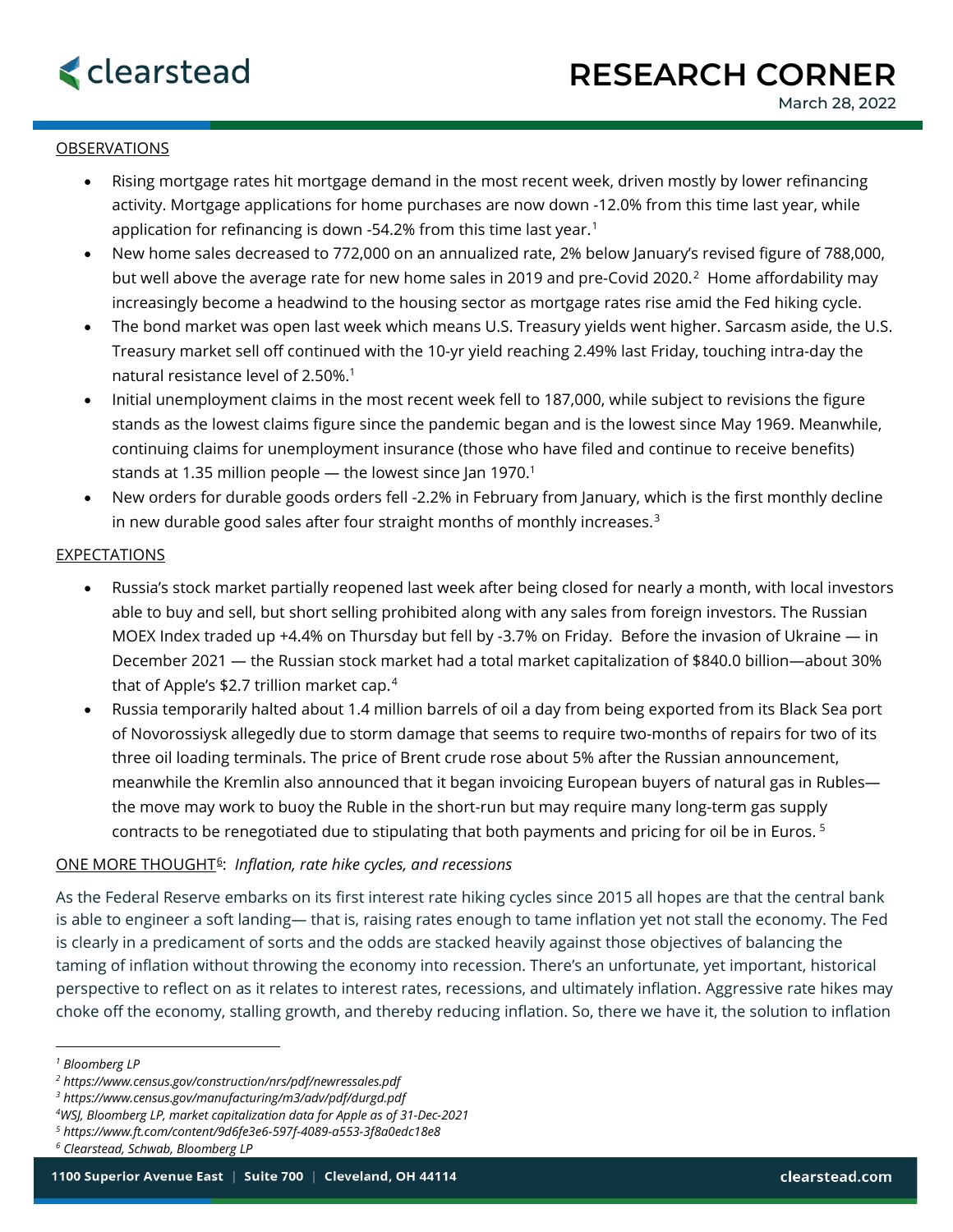## OBSERVATIONS

- Rising mortgage rates hit mortgage demand in the most recent week, driven mostly by lower refinancing activity. Mortgage applications for home purchases are now down -12.0% from this time last year, while application for refinancing is down -54.2% from this time last year.<sup>[1](#page-0-0)</sup>
- New home sales decreased to 772,000 on an annualized rate, 2% below January's revised figure of 788,000, but well above the average rate for new home sales in [2](#page-0-1)019 and pre-Covid 2020.<sup>2</sup> Home affordability may increasingly become a headwind to the housing sector as mortgage rates rise amid the Fed hiking cycle.
- The bond market was open last week which means U.S. Treasury yields went higher. Sarcasm aside, the U.S. Treasury market sell off continued with the 10-yr yield reaching 2.49% last Friday, touching intra-day the natural resistance level of 2.50%.<sup>1</sup>
- Initial unemployment claims in the most recent week fell to 187,000, while subject to revisions the figure stands as the lowest claims figure since the pandemic began and is the lowest since May 1969. Meanwhile, continuing claims for unemployment insurance (those who have filed and continue to receive benefits) stands at 1.35 million people  $-$  the lowest since Jan 1970.<sup>1</sup>
- New orders for durable goods orders fell -2.2% in February from January, which is the first monthly decline in new durable good sales after four straight months of monthly increases.<sup>[3](#page-0-2)</sup>

## **EXPECTATIONS**

- Russia's stock market partially reopened last week after being closed for nearly a month, with local investors able to buy and sell, but short selling prohibited along with any sales from foreign investors. The Russian MOEX Index traded up +4.4% on Thursday but fell by -3.7% on Friday. Before the invasion of Ukraine — in December 2021 — the Russian stock market had a total market capitalization of \$840.0 billion—about 30% that of Apple's \$2.7 trillion market cap.[4](#page-0-3)
- Russia temporarily halted about 1.4 million barrels of oil a day from being exported from its Black Sea port of Novorossiysk allegedly due to storm damage that seems to require two-months of repairs for two of its three oil loading terminals. The price of Brent crude rose about 5% after the Russian announcement, meanwhile the Kremlin also announced that it began invoicing European buyers of natural gas in Rubles the move may work to buoy the Ruble in the short-run but may require many long-term gas supply contracts to be renegotiated due to stipulating that both payments and pricing for oil be in Euros. [5](#page-0-4)

## ONE MORE THOUGHT[6](#page-0-5): *Inflation, rate hike cycles, and recessions*

As the Federal Reserve embarks on its first interest rate hiking cycles since 2015 all hopes are that the central bank is able to engineer a soft landing— that is, raising rates enough to tame inflation yet not stall the economy. The Fed is clearly in a predicament of sorts and the odds are stacked heavily against those objectives of balancing the taming of inflation without throwing the economy into recession. There's an unfortunate, yet important, historical perspective to reflect on as it relates to interest rates, recessions, and ultimately inflation. Aggressive rate hikes may choke off the economy, stalling growth, and thereby reducing inflation. So, there we have it, the solution to inflation

<span id="page-0-1"></span>*<sup>2</sup> https://www.census.gov/construction/nrs/pdf/newressales.pdf*

- <span id="page-0-3"></span>*4 WSJ, Bloomberg LP, market capitalization data for Apple as of 31-Dec-2021*
- <span id="page-0-4"></span>*<sup>5</sup> https://www.ft.com/content/9d6fe3e6-597f-4089-a553-3f8a0edc18e8*

<span id="page-0-0"></span>*<sup>1</sup> Bloomberg LP*

<span id="page-0-2"></span>*<sup>3</sup> https://www.census.gov/manufacturing/m3/adv/pdf/durgd.pdf*

<span id="page-0-5"></span>*<sup>6</sup> Clearstead, Schwab, Bloomberg LP*